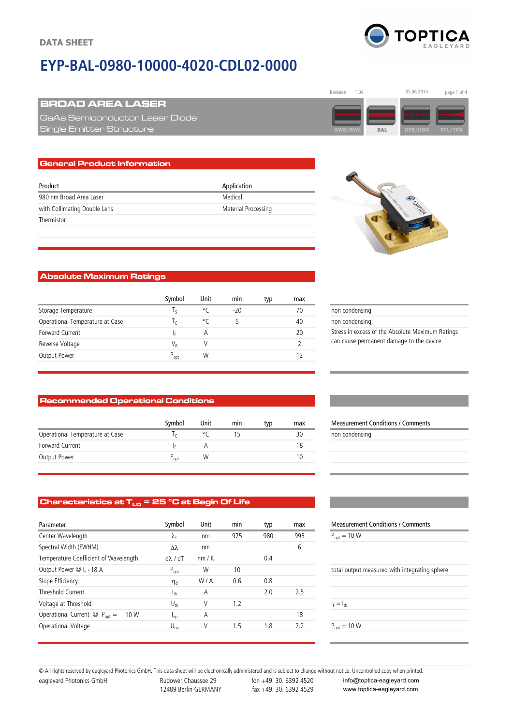# **EYP-BAL-0980-10000-4020-CDL02-0000**



05.06.2014

### BROAD AREA LASER

GaAs Semiconductor Laser Diode  $B$  Bingle Emitter Structure

#### General Product Information

| Product                      | Application         |
|------------------------------|---------------------|
| 980 nm Broad Area Laser      | Medical             |
| with Collimating Double Lens | Material Processing |
| Thermistor                   |                     |



Revision 1.04 05.06.2014 page 1 of 4

**RWE/RWL BAL DFB/DBR**

#### Absolute Maximum Ratings

|                                 | Symbol         | Unit    | min   | typ | max |
|---------------------------------|----------------|---------|-------|-----|-----|
| Storage Temperature             |                | $\circ$ | $-20$ |     | 70  |
| Operational Temperature at Case | $\mathfrak{c}$ | ۰ς      | 5     |     | 40  |
| Forward Current                 | Ιc             | А       |       |     | 20  |
| Reverse Voltage                 | VR             |         |       |     |     |
| Output Power                    | $P_{opt}$      | W       |       |     |     |
|                                 |                |         |       |     |     |

#### Recommended Operational Conditions

|                                 | Symbol           | Unit | min | typ | max | <b>Measurement Conditions / Comments</b> |
|---------------------------------|------------------|------|-----|-----|-----|------------------------------------------|
| Operational Temperature at Case |                  |      |     |     | 30  | non condensing                           |
| Forward Current                 |                  |      |     |     | 18  |                                          |
| Output Power                    | $P_{\text{opt}}$ | W    |     |     |     |                                          |
|                                 |                  |      |     |     |     |                                          |

## Characteristics at  $T_{LD}$  = 25  $^{\circ}$ C at Begin Of Life

| Parameter                                        | Symbol            | Unit | min | typ | max | <b>Measurement Conditions / Comments</b>      |
|--------------------------------------------------|-------------------|------|-----|-----|-----|-----------------------------------------------|
| Center Wavelength                                | $\lambda_c$       | nm   | 975 | 980 | 995 | $P_{opt} = 10 W$                              |
| Spectral Width (FWHM)                            | Δλ                | nm   |     |     | 6   |                                               |
| Temperature Coefficient of Wavelength            | $d\lambda$ / $dT$ | nm/K |     | 0.4 |     |                                               |
| Output Power $\mathcal{Q}$ I <sub>F</sub> = 18 A | $P_{opt}$         | W    | 10  |     |     | total output measured with integrating sphere |
| Slope Efficiency                                 | $\eta_d$          | W/A  | 0.6 | 0.8 |     |                                               |
| Threshold Current                                | $I_{th}$          | A    |     | 2.0 | 2.5 |                                               |
| Voltage at Threshold                             | $U_{th}$          | ٧    | 1.2 |     |     | $I_F = I_{th}$                                |
| Operational Current $@$ $P_{opt}$ =<br>10 W      | $I_{OD}$          | A    |     |     | 18  |                                               |
| Operational Voltage                              | $U_{op}$          | ٧    | 1.5 | 1.8 | 2.2 | $P_{opt} = 10 W$                              |
|                                                  |                   |      |     |     |     |                                               |

#### non condensing non condensing Stress in excess of the Absolute Maximum Ratings can cause permanent damage to the device.

| <b>Measurement Conditions / Comments</b> |  |  |  |
|------------------------------------------|--|--|--|
| non condensing                           |  |  |  |
|                                          |  |  |  |
|                                          |  |  |  |
|                                          |  |  |  |

| <b>Measurement Conditions / Comments</b>      |  |  |  |  |
|-----------------------------------------------|--|--|--|--|
| $P_{\text{opt}} = 10 W$                       |  |  |  |  |
|                                               |  |  |  |  |
|                                               |  |  |  |  |
| total output measured with integrating sphere |  |  |  |  |
|                                               |  |  |  |  |
| $I_F = I_{th}$                                |  |  |  |  |
|                                               |  |  |  |  |
| $P_{opt} = 10 W$                              |  |  |  |  |
|                                               |  |  |  |  |

eagleyard Photonics GmbH Rudower Chaussee 29 fon +49. 30. 6392 4520 12489 Berlin GERMANY fax +49. 30. 6392 4529 © All rights reserved by eagleyard Photonics GmbH. This data sheet will be electronically administered and is subject to change without notice. Uncontrolled copy when printed. info@toptica-eagleyard.com

www.toptica-eagleyard.com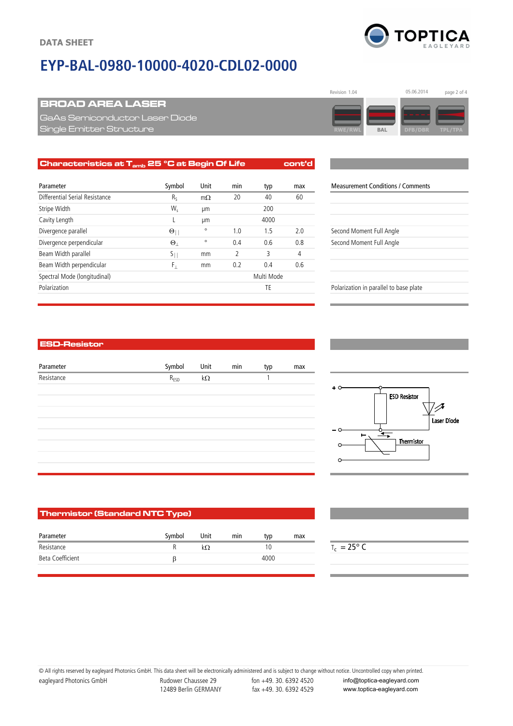## **EYP-BAL-0980-10000-4020-CDL02-0000**

## BROAD AREA LASER

GaAs Semiconductor Laser Diode  $B$  Bingle Emitter Structure

| Characteristics at $T_{amb}$ 25 °C at Begin Of Life |                      |           |     |            | cont'd |                                          |
|-----------------------------------------------------|----------------------|-----------|-----|------------|--------|------------------------------------------|
| Parameter                                           | Symbol               | Unit      | min | typ        | max    | <b>Measurement Conditions / Comments</b> |
| Differential Serial Resistance                      | $R_{S}$              | $m\Omega$ | 20  | 40         | 60     |                                          |
| Stripe Width                                        | W,                   | μm        |     | 200        |        |                                          |
| Cavity Length                                       |                      | μm        |     | 4000       |        |                                          |
| Divergence parallel                                 | $\Theta_{\parallel}$ | $\circ$   | 1.0 | 1.5        | 2.0    | Second Moment Full Angle                 |
| Divergence perpendicular                            | $\Theta_+$           | $\circ$   | 0.4 | 0.6        | 0.8    | Second Moment Full Angle                 |
| Beam Width parallel                                 | $S_{\parallel}$      | mm        | 2   | 3          | 4      |                                          |
| Beam Width perpendicular                            | F,                   | mm        | 0.2 | 0.4        | 0.6    |                                          |
| Spectral Mode (longitudinal)                        |                      |           |     | Multi Mode |        |                                          |
| Polarization                                        |                      |           |     | TE         |        | Polarization in parallel to base plate   |

| <b>Measurement Conditions / Comments</b> |
|------------------------------------------|
|                                          |
|                                          |
|                                          |
| Second Moment Full Angle                 |
| Second Moment Full Angle                 |
|                                          |
|                                          |

#### ESD-Resistor

| Parameter  | Symbol    | Unit      | min | typ | max |
|------------|-----------|-----------|-----|-----|-----|
| Resistance | $R_{ESD}$ | $k\Omega$ |     |     |     |
|            |           |           |     |     |     |
|            |           |           |     |     |     |
|            |           |           |     |     |     |
|            |           |           |     |     |     |
|            |           |           |     |     |     |
|            |           |           |     |     |     |
|            |           |           |     |     |     |



#### Thermistor (Standard NTC Type)

| Parameter        | Symbol | Unit | min | tvo  | max | المنابعة |
|------------------|--------|------|-----|------|-----|----------|
| Resistance       |        |      |     |      |     |          |
| Beta Coefficient |        |      |     | 4000 |     |          |

 $T_c = 25^\circ C$ 

eagleyard Photonics GmbH Rudower Chaussee 29 fon +49. 30. 6392 4520 © All rights reserved by eagleyard Photonics GmbH. This data sheet will be electronically administered and is subject to change without notice. Uncontrolled copy when printed.

12489 Berlin GERMANY fax +49. 30. 6392 4529

info@toptica-eagleyard.com www.toptica-eagleyard.com





| $-$ 0 $-$ |
|-----------|
|           |
|           |
|           |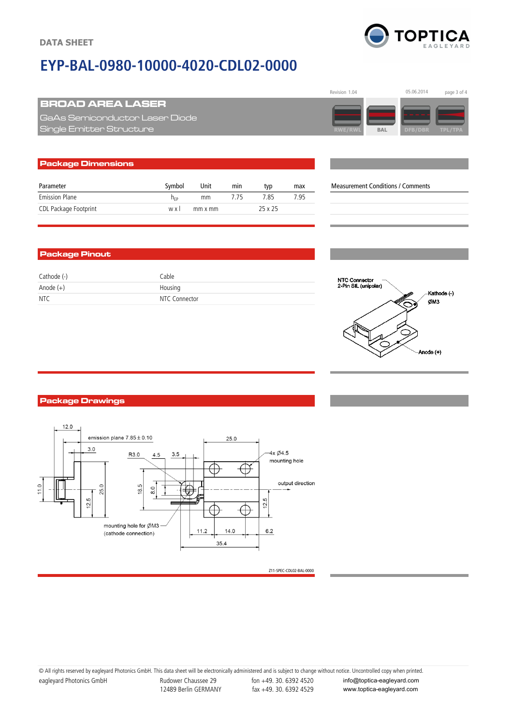## **EYP-BAL-0980-10000-4020-CDL02-0000**



**TOPTICA** 

## BROAD AREA LASER

GaAs Semiconductor Laser Diode  $B$  Bingle Emitter Structure

## Package Dimensions Parameter **Symbol** Unit min typ max Measurement Conditions / Comments Emission Plane **her** mm 7.75 7.85 7.95 CDL Package Footprint w x l mm x mm 25 x 25

#### Package Pinout

| Cathode (-) | Cable         |
|-------------|---------------|
| Anode $(+)$ | Housing       |
| <b>NTC</b>  | NTC Connector |



#### Package Drawings



Z11-SPEC-CDL02-BAL-0000